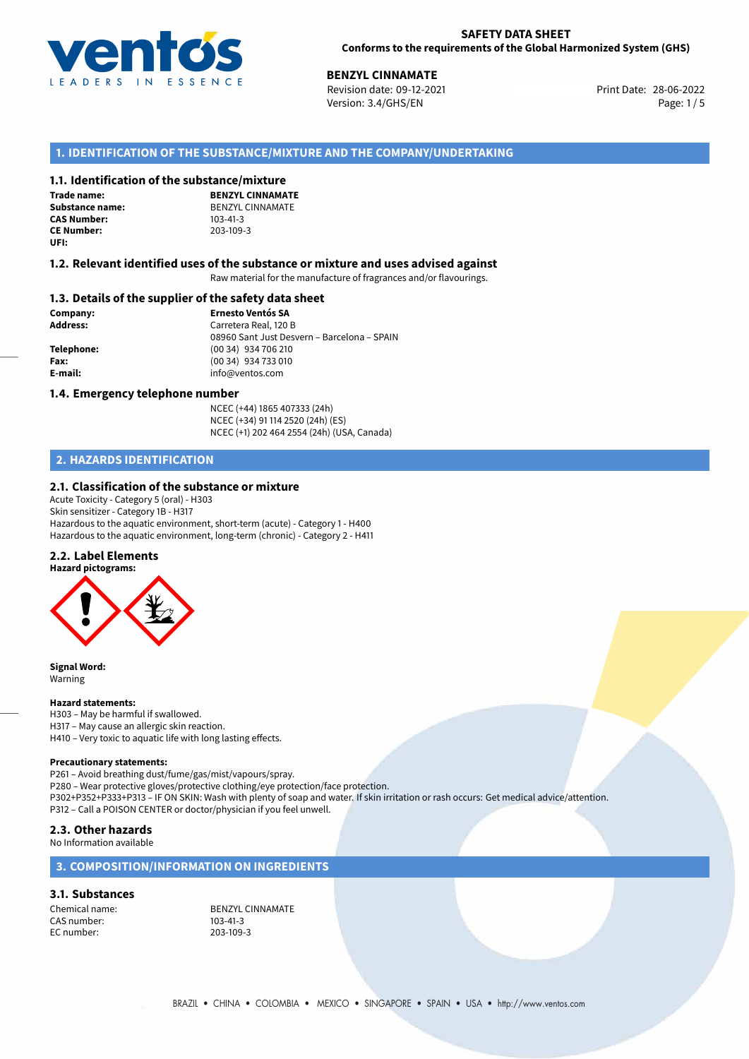

28-06-2022 **BENZYL CINNAMATE** Revision date: 09-12-2021 Print Date: Version: 3.4/GHS/EN Page: 1/5

# **1. IDENTIFICATION OF THE SUBSTANCE/MIXTURE AND THE COMPANY/UNDERTAKING**

### **1.1. Identification of the substance/mixture**

**Trade name: CAS Number: CE Number:** 203-109-3 **UFI:**

**BENZYL CINNAMATE Substance name:** BENZYL CINNAMATE<br> **CAS Number:** 103-41-3

#### **1.2. Relevant identified uses of the substance or mixture and uses advised against**

Raw material for the manufacture of fragrances and/or flavourings.

### **1.3. Details of the supplier of the safety data sheet**

**Company: Ernesto Ventós SA Address:** Carretera Real, 120 B 08960 Sant Just Desvern – Barcelona – SPAIN **Telephone:** (00 34) 934 706 210 **Fax:** (00 34) 934 733 010 **E-mail:** info@ventos.com

#### **1.4. Emergency telephone number**

NCEC (+44) 1865 407333 (24h) NCEC (+34) 91 114 2520 (24h) (ES) NCEC (+1) 202 464 2554 (24h) (USA, Canada)

# **2. HAZARDS IDENTIFICATION**

#### **2.1. Classification of the substance or mixture**

Acute Toxicity - Category 5 (oral) - H303 Skin sensitizer - Category 1B - H317 Hazardous to the aquatic environment, short-term (acute) - Category 1 - H400 Hazardous to the aquatic environment, long-term (chronic) - Category 2 - H411

#### **2.2. Label Elements**

**Hazard pictograms:**



**Signal Word:** Warning

#### **Hazard statements:**

H303 – May be harmful if swallowed. H317 – May cause an allergic skin reaction. H410 – Very toxic to aquatic life with long lasting effects.

#### **Precautionary statements:**

P261 – Avoid breathing dust/fume/gas/mist/vapours/spray.

P280 – Wear protective gloves/protective clothing/eye protection/face protection.

P302+P352+P333+P313 – IF ON SKIN: Wash with plenty of soap and water. If skin irritation or rash occurs: Get medical advice/attention. P312 – Call a POISON CENTER or doctor/physician if you feel unwell.

#### **2.3. Other hazards**

No Information available

# **3. COMPOSITION/INFORMATION ON INGREDIENTS**

**3.1. Substances**

CAS number: 103-41-3<br>EC number: 203-109-3 EC number:

Chemical name: BENZYL CINNAMATE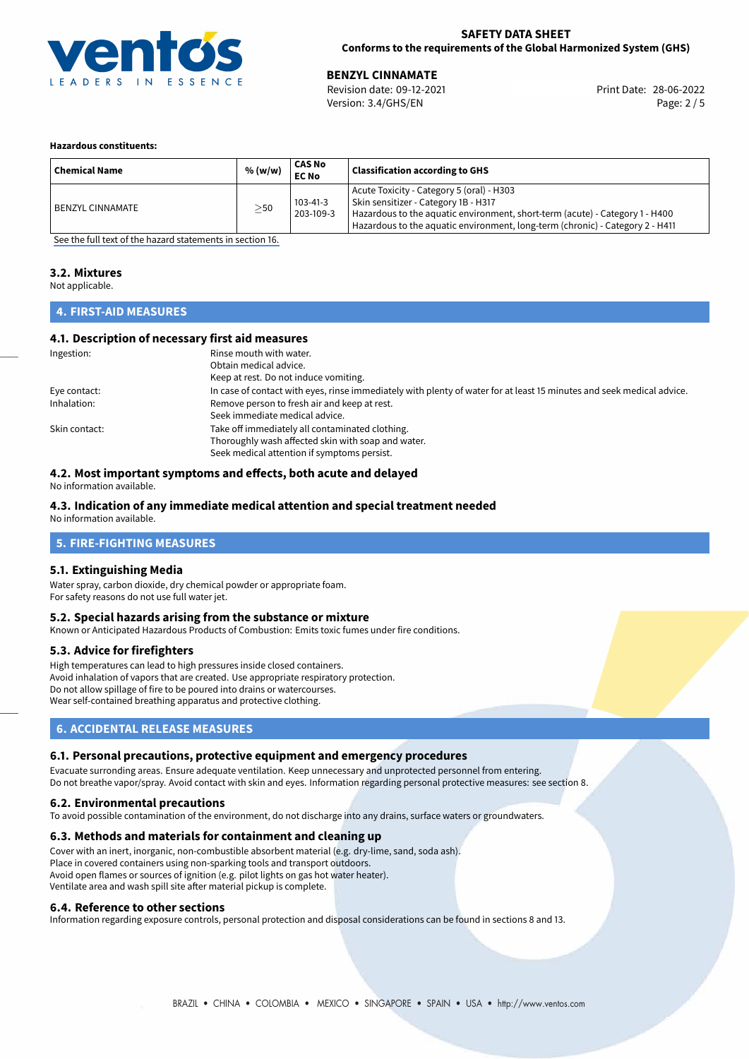

# **SAFETY DATA SHEET Conforms to the requirements of the Global Harmonized System (GHS)**

Version: 3.4/GHS/EN Page: 2 / 5

28-06-2022 **BENZYL CINNAMATE** Revision date: 09-12-2021 Print Date:

#### **Hazardous constituents:**

| <b>Chemical Name</b>    | % (w/w)   | <b>CAS No</b><br><b>EC No</b> | <b>Classification according to GHS</b>                                                                                                                                                                                                             |
|-------------------------|-----------|-------------------------------|----------------------------------------------------------------------------------------------------------------------------------------------------------------------------------------------------------------------------------------------------|
| <b>BENZYL CINNAMATE</b> | $\geq$ 50 | $103 - 41 - 3$<br>203-109-3   | Acute Toxicity - Category 5 (oral) - H303<br>Skin sensitizer - Category 1B - H317<br>Hazardous to the aquatic environment, short-term (acute) - Category 1 - H400<br>Hazardous to the aquatic environment, long-term (chronic) - Category 2 - H411 |

[See the full text of the hazard statements in section 16.](#page-4-0)

# **3.2. Mixtures**

Not applicable.

# **4. FIRST-AID MEASURES**

# **4.1. Description of necessary first aid measures**

| Ingestion:    | Rinse mouth with water.                                                                                               |
|---------------|-----------------------------------------------------------------------------------------------------------------------|
|               | Obtain medical advice.                                                                                                |
|               | Keep at rest. Do not induce vomiting.                                                                                 |
| Eye contact:  | In case of contact with eyes, rinse immediately with plenty of water for at least 15 minutes and seek medical advice. |
| Inhalation:   | Remove person to fresh air and keep at rest.                                                                          |
|               | Seek immediate medical advice.                                                                                        |
| Skin contact: | Take off immediately all contaminated clothing.                                                                       |
|               | Thoroughly wash affected skin with soap and water.                                                                    |
|               | Seek medical attention if symptoms persist.                                                                           |

# **4.2. Most important symptoms and effects, both acute and delayed**

No information available.

# **4.3. Indication of any immediate medical attention and special treatment needed**

No information available.

# **5. FIRE-FIGHTING MEASURES**

# **5.1. Extinguishing Media**

Water spray, carbon dioxide, dry chemical powder or appropriate foam. For safety reasons do not use full water jet.

#### **5.2. Special hazards arising from the substance or mixture**

Known or Anticipated Hazardous Products of Combustion: Emits toxic fumes under fire conditions.

# **5.3. Advice for firefighters**

High temperatures can lead to high pressures inside closed containers. Avoid inhalation of vapors that are created. Use appropriate respiratory protection. Do not allow spillage of fire to be poured into drains or watercourses. Wear self-contained breathing apparatus and protective clothing.

# **6. ACCIDENTAL RELEASE MEASURES**

# **6.1. Personal precautions, protective equipment and emergency procedures**

Evacuate surronding areas. Ensure adequate ventilation. Keep unnecessary and unprotected personnel from entering. Do not breathe vapor/spray. Avoid contact with skin and eyes. Information regarding personal protective measures: see section 8.

# **6.2. Environmental precautions**

To avoid possible contamination of the environment, do not discharge into any drains, surface waters or groundwaters.

#### **6.3. Methods and materials for containment and cleaning up**

Cover with an inert, inorganic, non-combustible absorbent material (e.g. dry-lime, sand, soda ash). Place in covered containers using non-sparking tools and transport outdoors. Avoid open flames or sources of ignition (e.g. pilot lights on gas hot water heater). Ventilate area and wash spill site after material pickup is complete.

#### **6.4. Reference to other sections**

Information regarding exposure controls, personal protection and disposal considerations can be found in sections 8 and 13.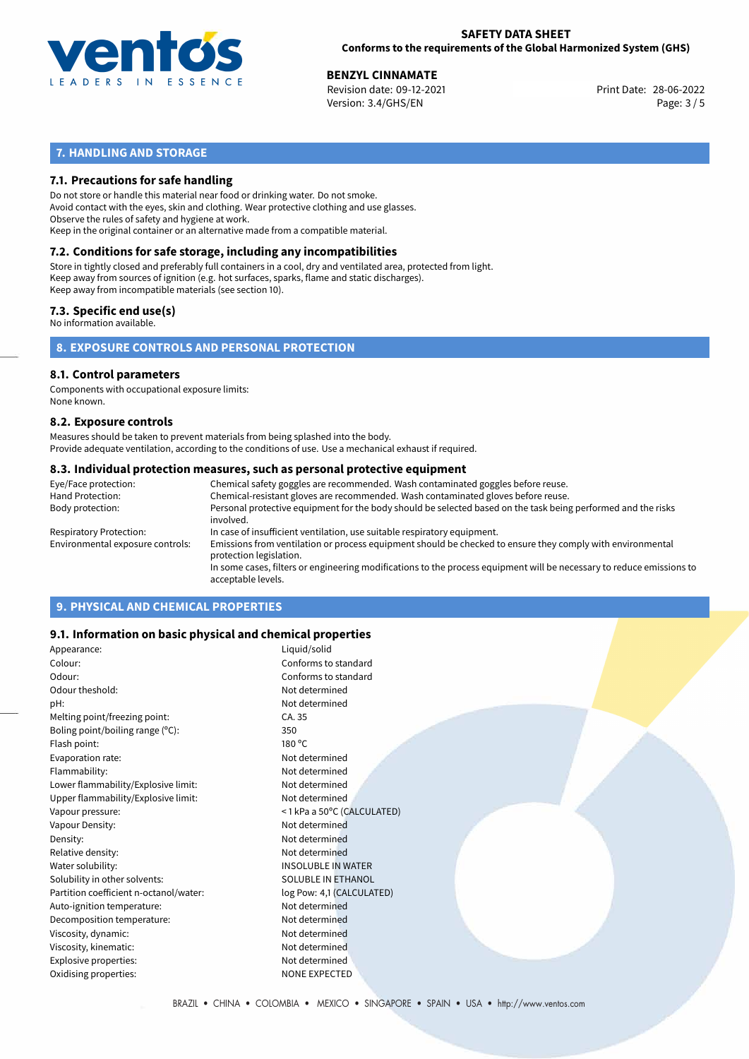

28-06-2022 **BENZYL CINNAMATE** Revision date: 09-12-2021 Print Date: Version: 3.4/GHS/EN Page: 3 / 5

# **7. HANDLING AND STORAGE**

# **7.1. Precautions for safe handling**

Do not store or handle this material near food or drinking water. Do not smoke. Avoid contact with the eyes, skin and clothing. Wear protective clothing and use glasses. Observe the rules of safety and hygiene at work. Keep in the original container or an alternative made from a compatible material.

# **7.2. Conditions for safe storage, including any incompatibilities**

Store in tightly closed and preferably full containers in a cool, dry and ventilated area, protected from light. Keep away from sources of ignition (e.g. hot surfaces, sparks, flame and static discharges). Keep away from incompatible materials (see section 10).

### **7.3. Specific end use(s)**

No information available.

# **8. EXPOSURE CONTROLS AND PERSONAL PROTECTION**

# **8.1. Control parameters**

Components with occupational exposure limits: None known.

#### **8.2. Exposure controls**

Measures should be taken to prevent materials from being splashed into the body. Provide adequate ventilation, according to the conditions of use. Use a mechanical exhaust if required.

#### **8.3. Individual protection measures, such as personal protective equipment**

| Eye/Face protection:             | Chemical safety goggles are recommended. Wash contaminated goggles before reuse.                                                            |
|----------------------------------|---------------------------------------------------------------------------------------------------------------------------------------------|
| Hand Protection:                 | Chemical-resistant gloves are recommended. Wash contaminated gloves before reuse.                                                           |
| Body protection:                 | Personal protective equipment for the body should be selected based on the task being performed and the risks<br>involved.                  |
| Respiratory Protection:          | In case of insufficient ventilation, use suitable respiratory equipment.                                                                    |
| Environmental exposure controls: | Emissions from ventilation or process equipment should be checked to ensure they comply with environmental<br>protection legislation.       |
|                                  | In some cases, filters or engineering modifications to the process equipment will be necessary to reduce emissions to<br>acceptable levels. |
|                                  |                                                                                                                                             |

# **9. PHYSICAL AND CHEMICAL PROPERTIES**

# **9.1. Information on basic physical and chemical properties**

| Appearance:                            | Liquid/solid               |
|----------------------------------------|----------------------------|
| Colour:                                | Conforms to standard       |
| Odour:                                 | Conforms to standard       |
| Odour theshold:                        | Not determined             |
| pH:                                    | Not determined             |
| Melting point/freezing point:          | CA. 35                     |
| Boling point/boiling range (°C):       | 350                        |
| Flash point:                           | 180 °C                     |
| Evaporation rate:                      | Not determined             |
| Flammability:                          | Not determined             |
| Lower flammability/Explosive limit:    | Not determined             |
| Upper flammability/Explosive limit:    | Not determined             |
| Vapour pressure:                       | <1 kPa a 50°C (CALCULATED) |
| Vapour Density:                        | Not determined             |
| Density:                               | Not determined             |
| Relative density:                      | Not determined             |
| Water solubility:                      | <b>INSOLUBLE IN WATER</b>  |
| Solubility in other solvents:          | <b>SOLUBLE IN ETHANOL</b>  |
| Partition coefficient n-octanol/water: | log Pow: 4,1 (CALCULATED)  |
| Auto-ignition temperature:             | Not determined             |
| Decomposition temperature:             | Not determined             |
| Viscosity, dynamic:                    | Not determined             |
| Viscosity, kinematic:                  | Not determined             |
| Explosive properties:                  | Not determined             |
| Oxidising properties:                  | <b>NONE EXPECTED</b>       |
|                                        |                            |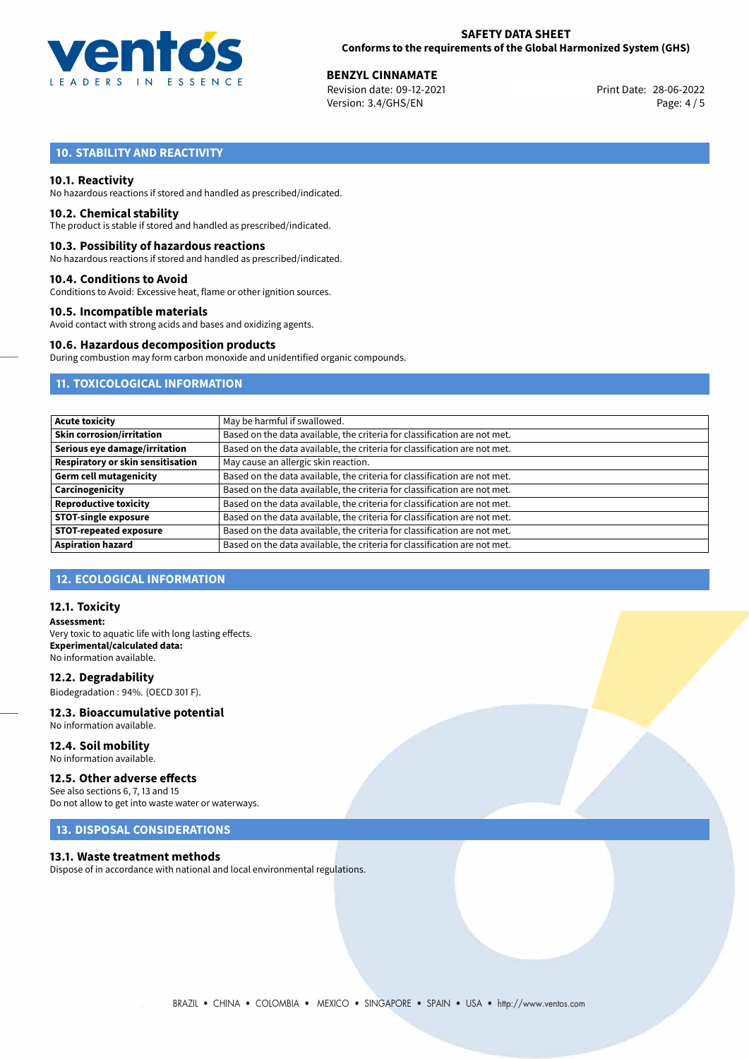

28-06-2022 **BENZYL CINNAMATE** Revision date: 09-12-2021 Print Date: Version: 3.4/GHS/EN Page: 4 / 5

# **10. STABILITY AND REACTIVITY**

### **10.1. Reactivity**

No hazardous reactions if stored and handled as prescribed/indicated.

#### **10.2. Chemical stability**

The product is stable if stored and handled as prescribed/indicated.

#### **10.3. Possibility of hazardous reactions**

No hazardous reactions if stored and handled as prescribed/indicated.

#### **10.4. Conditions to Avoid**

Conditions to Avoid: Excessive heat, flame or other ignition sources.

#### **10.5. Incompatible materials**

Avoid contact with strong acids and bases and oxidizing agents.

#### **10.6. Hazardous decomposition products**

During combustion may form carbon monoxide and unidentified organic compounds.

# **11. TOXICOLOGICAL INFORMATION**

| <b>Acute toxicity</b>             | May be harmful if swallowed.                                              |  |  |
|-----------------------------------|---------------------------------------------------------------------------|--|--|
| <b>Skin corrosion/irritation</b>  | Based on the data available, the criteria for classification are not met. |  |  |
| Serious eye damage/irritation     | Based on the data available, the criteria for classification are not met. |  |  |
| Respiratory or skin sensitisation | May cause an allergic skin reaction.                                      |  |  |
| <b>Germ cell mutagenicity</b>     | Based on the data available, the criteria for classification are not met. |  |  |
| Carcinogenicity                   | Based on the data available, the criteria for classification are not met. |  |  |
| <b>Reproductive toxicity</b>      | Based on the data available, the criteria for classification are not met. |  |  |
| <b>STOT-single exposure</b>       | Based on the data available, the criteria for classification are not met. |  |  |
| <b>STOT-repeated exposure</b>     | Based on the data available, the criteria for classification are not met. |  |  |
| <b>Aspiration hazard</b>          | Based on the data available, the criteria for classification are not met. |  |  |

# **12. ECOLOGICAL INFORMATION**

### **12.1. Toxicity**

**Assessment:** Very toxic to aquatic life with long lasting effects. **Experimental/calculated data:** No information available.

**12.2. Degradability** Biodegradation : 94%. (OECD 301 F).

#### **12.3. Bioaccumulative potential** No information available.

**12.4. Soil mobility** No information available.

# **12.5. Other adverse effects**

See also sections 6, 7, 13 and 15 Do not allow to get into waste water or waterways.

# **13. DISPOSAL CONSIDERATIONS**

#### **13.1. Waste treatment methods**

Dispose of in accordance with national and local environmental regulations.